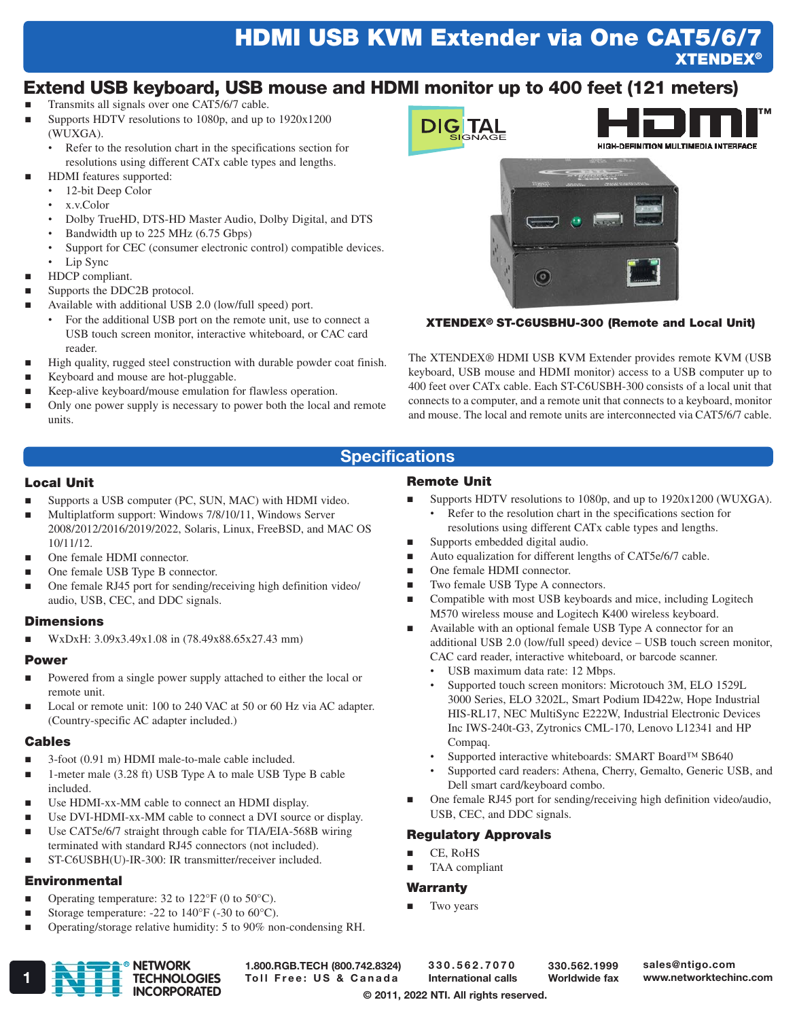# HDMI USB KVM Extender via One CAT5/6/7 **XTENDEX®**

## Extend USB keyboard, USB mouse and HDMI monitor up to 400 feet (121 meters)

- Transmits all signals over one CAT5/6/7 cable.
- Supports HDTV resolutions to 1080p, and up to 1920x1200 (WUXGA).
	- Refer to the resolution chart in the specifications section for resolutions using different CATx cable types and lengths.
- HDMI features supported:
	- 12-bit Deep Color
	- x.v.Color
	- Dolby TrueHD, DTS-HD Master Audio, Dolby Digital, and DTS
	- Bandwidth up to 225 MHz (6.75 Gbps)
	- Support for CEC (consumer electronic control) compatible devices.
	- Lip Sync
- **HDCP** compliant.
- Supports the DDC2B protocol.
- Available with additional USB 2.0 (low/full speed) port.
	- For the additional USB port on the remote unit, use to connect a USB touch screen monitor, interactive whiteboard, or CAC card reader.
- High quality, rugged steel construction with durable powder coat finish.
- Keyboard and mouse are hot-pluggable.
- Keep-alive keyboard/mouse emulation for flawless operation.
- Only one power supply is necessary to power both the local and remote units.



#### XTENDEX® ST-C6USBHU-300 (Remote and Local Unit)

The XTENDEX® HDMI USB KVM Extender provides remote KVM (USB keyboard, USB mouse and HDMI monitor) access to a USB computer up to 400 feet over CATx cable. Each ST-C6USBH-300 consists of a local unit that connects to a computer, and a remote unit that connects to a keyboard, monitor and mouse. The local and remote units are interconnected via CAT5/6/7 cable.

 Supports HDTV resolutions to 1080p, and up to 1920x1200 (WUXGA). Refer to the resolution chart in the specifications section for resolutions using different CATx cable types and lengths.

additional USB 2.0 (low/full speed) device – USB touch screen monitor,

Supported touch screen monitors: Microtouch 3M, ELO 1529L 3000 Series, ELO 3202L, Smart Podium ID422w, Hope Industrial HIS-RL17, NEC MultiSync E222W, Industrial Electronic Devices Inc IWS-240t-G3, Zytronics CML-170, Lenovo L12341 and HP

• Supported interactive whiteboards: SMART Board™ SB640 • Supported card readers: Athena, Cherry, Gemalto, Generic USB, and

One female RJ45 port for sending/receiving high definition video/audio,

■ Auto equalization for different lengths of CAT5e/6/7 cable.

■ Compatible with most USB keyboards and mice, including Logitech M570 wireless mouse and Logitech K400 wireless keyboard. Available with an optional female USB Type A connector for an

CAC card reader, interactive whiteboard, or barcode scanner.

USB maximum data rate: 12 Mbps.

Dell smart card/keyboard combo.

USB, CEC, and DDC signals.

Regulatory Approvals

 CE, RoHS TAA compliant

**Warranty** Two years

### **Specifications**

Remote Unit

■ Supports embedded digital audio.

 One female HDMI connector. Two female USB Type A connectors.

#### Local Unit

- Supports a USB computer (PC, SUN, MAC) with HDMI video.
- Multiplatform support: Windows 7/8/10/11, Windows Server 2008/2012/2016/2019/2022, Solaris, Linux, FreeBSD, and MAC OS 10/11/12.
- One female HDMI connector.
- One female USB Type B connector.
- One female RJ45 port for sending/receiving high definition video/ audio, USB, CEC, and DDC signals.

#### **Dimensions**

WxDxH: 3.09x3.49x1.08 in (78.49x88.65x27.43 mm)

#### Power

- Powered from a single power supply attached to either the local or remote unit.
- Local or remote unit: 100 to 240 VAC at 50 or 60 Hz via AC adapter. (Country-specific AC adapter included.)

#### Cables

- 3-foot (0.91 m) HDMI male-to-male cable included.
- 1-meter male (3.28 ft) USB Type A to male USB Type B cable included.
- Use HDMI-xx-MM cable to connect an HDMI display.
- Use DVI-HDMI-xx-MM cable to connect a DVI source or display.
- Use CAT5e/6/7 straight through cable for TIA/EIA-568B wiring terminated with standard RJ45 connectors (not included).
- ST-C6USBH(U)-IR-300: IR transmitter/receiver included.

#### **Environmental**

- **•** Operating temperature: 32 to  $122^{\circ}F$  (0 to  $50^{\circ}C$ ).
- Storage temperature: -22 to  $140^{\circ}$ F (-30 to 60 $^{\circ}$ C).
- Operating/storage relative humidity: 5 to 90% non-condensing RH.

# 1.800.RGB.TECH (800.742.8324)

330.562.7070 International calls

330.562.1999 Worldwide fax

sales@ntigo.com

© 2011, 2022 NTI. All rights reserved.

Compaq.

TECHNOLOGIES Toll Free: US & Canada International calls Worldwide fax www.networktechinc.com R **NETWORK TECHNOLOGIES INCORPORATED**